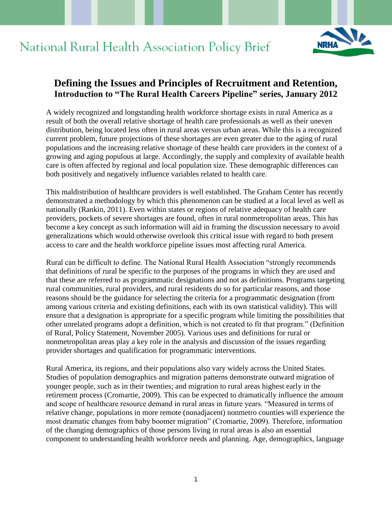

## National Rural Health Association Policy Brief

## **Defining the Issues and Principles of Recruitment and Retention, Introduction to "The Rural Health Careers Pipeline" series, January 2012**

A widely recognized and longstanding health workforce shortage exists in rural America as a result of both the overall relative shortage of health care professionals as well as their uneven distribution, being located less often in rural areas versus urban areas. While this is a recognized current problem, future projections of these shortages are even greater due to the aging of rural populations and the increasing relative shortage of these health care providers in the context of a growing and aging populous at large. Accordingly, the supply and complexity of available health care is often affected by regional and local population size. These demographic differences can both positively and negatively influence variables related to health care.

This maldistribution of healthcare providers is well established. The Graham Center has recently demonstrated a methodology by which this phenomenon can be studied at a local level as well as nationally (Rankin, 2011). Even within states or regions of relative adequacy of health care providers, pockets of severe shortages are found, often in rural nonmetropolitan areas. This has become a key concept as such information will aid in framing the discussion necessary to avoid generalizations which would otherwise overlook this critical issue with regard to both present access to care and the health workforce pipeline issues most affecting rural America.

Rural can be difficult to define. The National Rural Health Association "strongly recommends that definitions of rural be specific to the purposes of the programs in which they are used and that these are referred to as programmatic designations and not as definitions. Programs targeting rural communities, rural providers, and rural residents do so for particular reasons, and those reasons should be the guidance for selecting the criteria for a programmatic designation (from among various criteria and existing definitions, each with its own statistical validity). This will ensure that a designation is appropriate for a specific program while limiting the possibilities that other unrelated programs adopt a definition, which is not created to fit that program." (Definition of Rural, Policy Statement, November 2005). Various uses and definitions for rural or nonmetropolitan areas play a key role in the analysis and discussion of the issues regarding provider shortages and qualification for programmatic interventions.

Rural America, its regions, and their populations also vary widely across the United States. Studies of population demographics and migration patterns demonstrate outward migration of younger people, such as in their twenties; and migration to rural areas highest early in the retirement process (Cromartie, 2009). This can be expected to dramatically influence the amount and scope of healthcare resource demand in rural areas in future years. "Measured in terms of relative change, populations in more remote (nonadjacent) nonmetro counties will experience the most dramatic changes from baby boomer migration" (Cromartie, 2009). Therefore, information of the changing demographics of those persons living in rural areas is also an essential component to understanding health workforce needs and planning. Age, demographics, language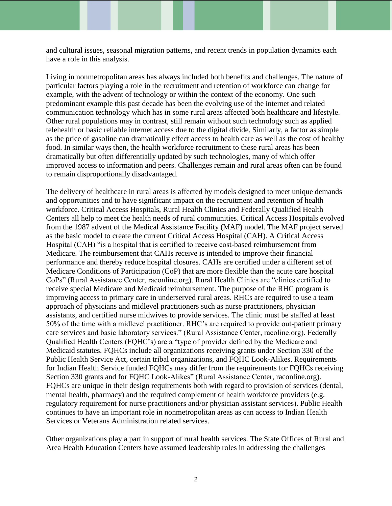and cultural issues, seasonal migration patterns, and recent trends in population dynamics each have a role in this analysis.

Living in nonmetropolitan areas has always included both benefits and challenges. The nature of particular factors playing a role in the recruitment and retention of workforce can change for example, with the advent of technology or within the context of the economy. One such predominant example this past decade has been the evolving use of the internet and related communication technology which has in some rural areas affected both healthcare and lifestyle. Other rural populations may in contrast, still remain without such technology such as applied telehealth or basic reliable internet access due to the digital divide. Similarly, a factor as simple as the price of gasoline can dramatically effect access to health care as well as the cost of healthy food. In similar ways then, the health workforce recruitment to these rural areas has been dramatically but often differentially updated by such technologies, many of which offer improved access to information and peers. Challenges remain and rural areas often can be found to remain disproportionally disadvantaged.

The delivery of healthcare in rural areas is affected by models designed to meet unique demands and opportunities and to have significant impact on the recruitment and retention of health workforce. Critical Access Hospitals, Rural Health Clinics and Federally Qualified Health Centers all help to meet the health needs of rural communities. Critical Access Hospitals evolved from the 1987 advent of the Medical Assistance Facility (MAF) model. The MAF project served as the basic model to create the current Critical Access Hospital (CAH). A Critical Access Hospital (CAH) "is a hospital that is certified to receive cost-based reimbursement from Medicare. The reimbursement that CAHs receive is intended to improve their financial performance and thereby reduce hospital closures. CAHs are certified under a different set of Medicare Conditions of Participation (CoP) that are more flexible than the acute care hospital CoPs" (Rural Assistance Center, raconline.org). Rural Health Clinics are "clinics certified to receive special Medicare and Medicaid reimbursement. The purpose of the RHC program is improving access to primary care in underserved rural areas. RHCs are required to use a team approach of physicians and midlevel practitioners such as nurse practitioners, physician assistants, and certified nurse midwives to provide services. The clinic must be staffed at least 50% of the time with a midlevel practitioner. RHC's are required to provide out-patient primary care services and basic laboratory services." (Rural Assistance Center, racoline.org). Federally Qualified Health Centers (FQHC's) are a "type of provider defined by the Medicare and Medicaid statutes. FQHCs include all organizations receiving grants under Section 330 of the Public Health Service Act, certain tribal organizations, and FQHC Look-Alikes. Requirements for Indian Health Service funded FQHCs may differ from the requirements for FQHCs receiving Section 330 grants and for FQHC Look-Alikes" (Rural Assistance Center, raconline.org). FQHCs are unique in their design requirements both with regard to provision of services (dental, mental health, pharmacy) and the required complement of health workforce providers (e.g. regulatory requirement for nurse practitioners and/or physician assistant services). Public Health continues to have an important role in nonmetropolitan areas as can access to Indian Health Services or Veterans Administration related services.

Other organizations play a part in support of rural health services. The State Offices of Rural and Area Health Education Centers have assumed leadership roles in addressing the challenges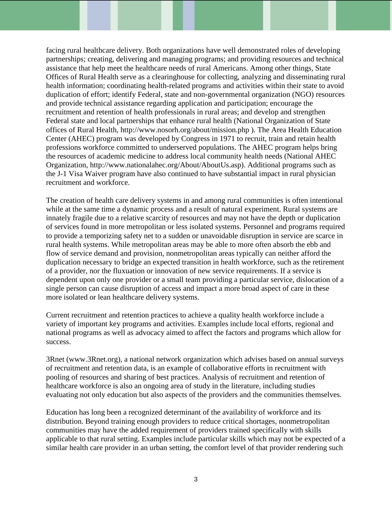facing rural healthcare delivery. Both organizations have well demonstrated roles of developing partnerships; creating, delivering and managing programs; and providing resources and technical assistance that help meet the healthcare needs of rural Americans. Among other things, State Offices of Rural Health serve as a clearinghouse for collecting, analyzing and disseminating rural health information; coordinating health-related programs and activities within their state to avoid duplication of effort; identify Federal, state and non-governmental organization (NGO) resources and provide technical assistance regarding application and participation; encourage the recruitment and retention of health professionals in rural areas; and develop and strengthen Federal state and local partnerships that enhance rural health (National Organization of State offices of Rural Health, http://www.nosorh.org/about/mission.php ). The Area Health Education Center (AHEC) program was developed by Congress in 1971 to recruit, train and retain health professions workforce committed to underserved populations. The AHEC program helps bring the resources of academic medicine to address local community health needs (National AHEC Organization, http://www.nationalahec.org/About/AboutUs.asp). Additional programs such as the J-1 Visa Waiver program have also continued to have substantial impact in rural physician recruitment and workforce.

The creation of health care delivery systems in and among rural communities is often intentional while at the same time a dynamic process and a result of natural experiment. Rural systems are innately fragile due to a relative scarcity of resources and may not have the depth or duplication of services found in more metropolitan or less isolated systems. Personnel and programs required to provide a temporizing safety net to a sudden or unavoidable disruption in service are scarce in rural health systems. While metropolitan areas may be able to more often absorb the ebb and flow of service demand and provision, nonmetropolitan areas typically can neither afford the duplication necessary to bridge an expected transition in health workforce, such as the retirement of a provider, nor the fluxuation or innovation of new service requirements. If a service is dependent upon only one provider or a small team providing a particular service, dislocation of a single person can cause disruption of access and impact a more broad aspect of care in these more isolated or lean healthcare delivery systems.

Current recruitment and retention practices to achieve a quality health workforce include a variety of important key programs and activities. Examples include local efforts, regional and national programs as well as advocacy aimed to affect the factors and programs which allow for success.

3Rnet (www.3Rnet.org), a national network organization which advises based on annual surveys of recruitment and retention data, is an example of collaborative efforts in recruitment with pooling of resources and sharing of best practices. Analysis of recruitment and retention of healthcare workforce is also an ongoing area of study in the literature, including studies evaluating not only education but also aspects of the providers and the communities themselves.

Education has long been a recognized determinant of the availability of workforce and its distribution. Beyond training enough providers to reduce critical shortages, nonmetropolitan communities may have the added requirement of providers trained specifically with skills applicable to that rural setting. Examples include particular skills which may not be expected of a similar health care provider in an urban setting, the comfort level of that provider rendering such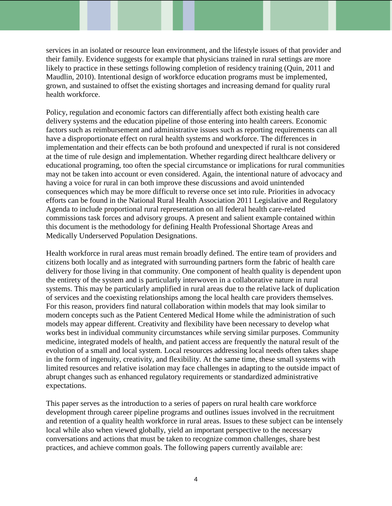services in an isolated or resource lean environment, and the lifestyle issues of that provider and their family. Evidence suggests for example that physicians trained in rural settings are more likely to practice in these settings following completion of residency training (Quin, 2011 and Maudlin, 2010). Intentional design of workforce education programs must be implemented, grown, and sustained to offset the existing shortages and increasing demand for quality rural health workforce.

Policy, regulation and economic factors can differentially affect both existing health care delivery systems and the education pipeline of those entering into health careers. Economic factors such as reimbursement and administrative issues such as reporting requirements can all have a disproportionate effect on rural health systems and workforce. The differences in implementation and their effects can be both profound and unexpected if rural is not considered at the time of rule design and implementation. Whether regarding direct healthcare delivery or educational programing, too often the special circumstance or implications for rural communities may not be taken into account or even considered. Again, the intentional nature of advocacy and having a voice for rural in can both improve these discussions and avoid unintended consequences which may be more difficult to reverse once set into rule. Priorities in advocacy efforts can be found in the National Rural Health Association 2011 Legislative and Regulatory Agenda to include proportional rural representation on all federal health care-related commissions task forces and advisory groups. A present and salient example contained within this document is the methodology for defining Health Professional Shortage Areas and Medically Underserved Population Designations.

Health workforce in rural areas must remain broadly defined. The entire team of providers and citizens both locally and as integrated with surrounding partners form the fabric of health care delivery for those living in that community. One component of health quality is dependent upon the entirety of the system and is particularly interwoven in a collaborative nature in rural systems. This may be particularly amplified in rural areas due to the relative lack of duplication of services and the coexisting relationships among the local health care providers themselves. For this reason, providers find natural collaboration within models that may look similar to modern concepts such as the Patient Centered Medical Home while the administration of such models may appear different. Creativity and flexibility have been necessary to develop what works best in individual community circumstances while serving similar purposes. Community medicine, integrated models of health, and patient access are frequently the natural result of the evolution of a small and local system. Local resources addressing local needs often takes shape in the form of ingenuity, creativity, and flexibility. At the same time, these small systems with limited resources and relative isolation may face challenges in adapting to the outside impact of abrupt changes such as enhanced regulatory requirements or standardized administrative expectations.

This paper serves as the introduction to a series of papers on rural health care workforce development through career pipeline programs and outlines issues involved in the recruitment and retention of a quality health workforce in rural areas. Issues to these subject can be intensely local while also when viewed globally, yield an important perspective to the necessary conversations and actions that must be taken to recognize common challenges, share best practices, and achieve common goals. The following papers currently available are: